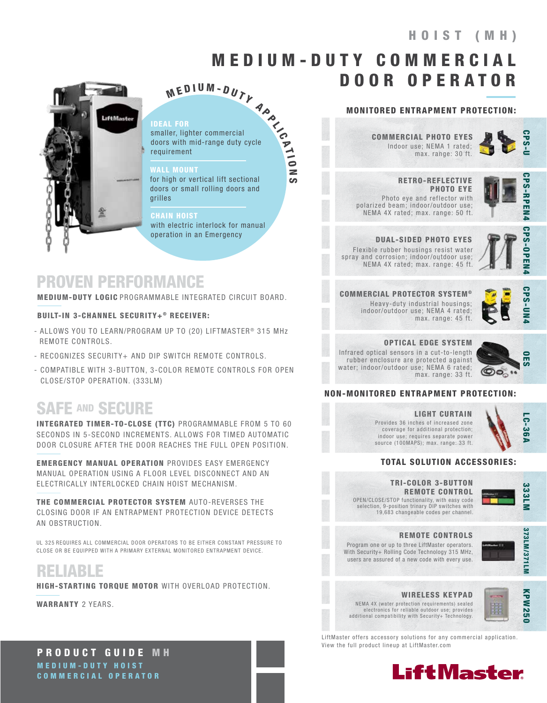# 8 3 5 5 W HOIST (MH)

# MED I U M - D U T Y C O M M E R C I A L DOOR OPERATOR

N **CO** 



#### IDEAL FOR

 $M$  E D I U M - D U T Y<br>
Let FOR<br>
Her, lighter commercial<br>
s with mid-range duty cycle<br>
irement smaller, lighter commercial doors with mid-range duty cycle requirement

#### WALL MOUNT

for high or vertical lift sectional doors or small rolling doors and grilles

#### **CHAIN HOIST**

with electric interlock for manual operation in an Emergency

### PROVEN PERFORMANCE

MEDIUM-DUTY LOGIC PROGRAMMABLE INTEGRATED CIRCUIT BOARD.

#### BUILT-IN 3-CHANNEL SECURITY+® RECEIVER:

- ALLOWS YOU TO LEARN/PROGRAM UP TO (20) LIFTMASTER<sup>®</sup> 315 MHz REMOTE CONTROLS.
- RECOGNIZES SECURITY+ AND DIP SWITCH REMOTE CONTROLS.
- COMPATIBLE WITH 3-BUTTON, 3-COLOR REMOTE CONTROLS FOR OPEN CLOSE/STOP OPERATION. (333LM)

# SAFE AND SECURE

INTEGRATED TIMER-TO-CLOSE (TTC) PROGRAMMABLE FROM 5 TO 60 SECONDS IN 5-SECOND INCREMENTS. ALLOWS FOR TIMED AUTOMATIC DOOR CLOSURE AFTER THE DOOR REACHES THE FULL OPEN POSITION.

EMERGENCY MANUAL OPERATION PROVIDES EASY EMERGENCY MANUAL OPERATION USING A FLOOR LEVEL DISCONNECT AND AN ELECTRICALLY INTERLOCKED CHAIN HOIST MECHANISM.

THE COMMERCIAL PROTECTOR SYSTEM AUTO-REVERSES THE CLOSING DOOR IF AN ENTRAPMENT PROTECTION DEVICE DETECTS AN OBSTRUCTION.

UL 325 REQUIRES ALL COMMERCIAL DOOR OPERATORS TO BE EITHER CONSTANT PRESSURE TO CLOSE OR BE EQUIPPED WITH A PRIMARY EXTERNAL MONITORED ENTRAPMENT DEVICE.

RELIABLE

HIGH-STARTING TORQUE MOTOR WITH OVERLOAD PROTECTION.

WARRANTY 2 YEARS.

#### MONITORED ENTRAPMENT PROTECTION:

Indoor use; NEMA 1 rated; max. range: 30 ft. COMMERCIAL PHOTO EYES



 RETRO-REFLECTIVE PHOTO EYE Photo eye and reflector with polarized beam; indoor/outdoor use; NEMA 4X rated; max. range: 50 ft.



**PS-RPEN4** 

DUAL-SIDED PHOTO EYES Flexible rubber housings resist water spray and corrosion; indoor/outdoor use; NEMA 4X rated; max. range: 45 ft.



COMMERCIAL PROTECTOR SYSTEM ® Heavy-duty industrial housings; indoor/outdoor use; NEMA 4 rated; max. range: 45 ft.



### OPTICAL EDGE SYSTEM

Infrared optical sensors in a cut-to-length rubber enclosure are protected against water; indoor/outdoor use; NEMA 6 rated; max. range: 33 ft.



#### NON-MONITORED ENTRAPMENT PROTECTION:

#### LIGHT CURTAIN

Provides 36 inches of increased zone coverage for additional protection; indoor use; requires separate power source (100MAPS); max. range: 33 ft.



#### TRI-COLOR 3-BUTTON REMOTE CONTROL OPEN/CLOSE/STOP functionality, with easy code selection, 9-position trinary DIP switches with 19,683 changeable codes per channel.

333LM CPS-UN4 333LM

LC-36A

Program one or up to three LiftMaster operators. With Security+ Rolling Code Technology 315 MHz, REMOTE CONTROLS

users are assured of a new code with every use.



### WIRELESS KEYPAD

NEMA 4X (water protection requirements) sealed electronics for reliable outdoor use; provides additional compatibility with Security+ Technology.



LiftMaster offers accessory solutions for any commercial application. View the full product lineup at LiftMaster.com



PRODUCT GUIDE M H MEDIUM-DUTY HOIST COMMERCIAL OPERATOR